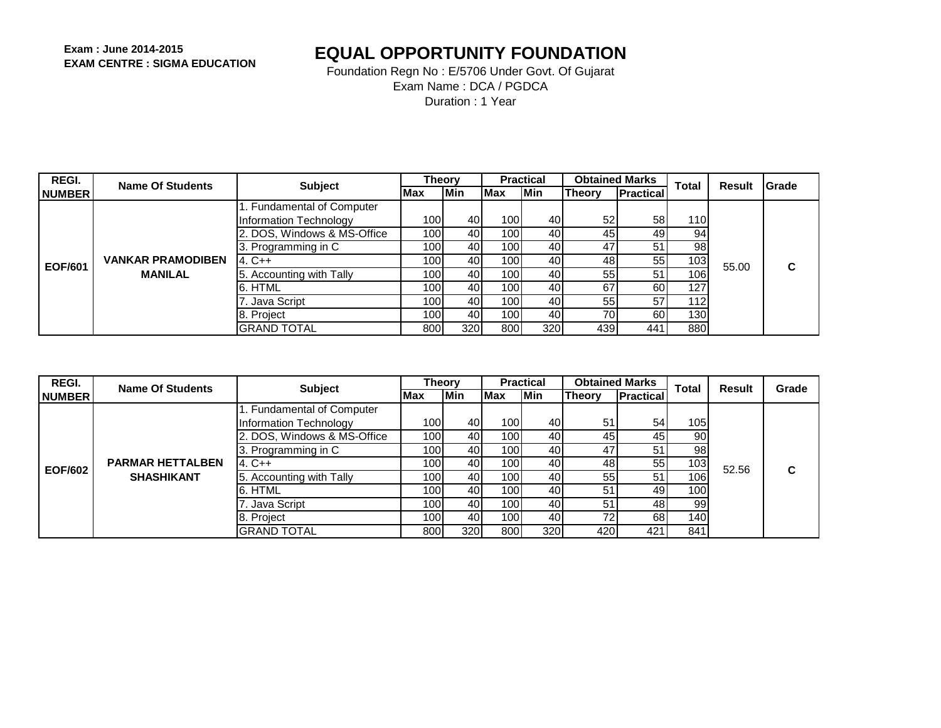| REGI.          | Name Of Students         | <b>Subject</b>              | <b>Theory</b> |            |              | <b>Practical</b> |         | <b>Obtained Marks</b> | Total            | Result | <b>IGrade</b> |
|----------------|--------------------------|-----------------------------|---------------|------------|--------------|------------------|---------|-----------------------|------------------|--------|---------------|
| <b>NUMBER</b>  |                          |                             | <b>Max</b>    | <b>Min</b> | <b>IMax</b>  | Min              | lTheorv | <b>Practical</b>      |                  |        |               |
|                |                          | I. Fundamental of Computer  |               |            |              |                  |         |                       |                  |        |               |
|                |                          | Information Technology      | 100l          | 40         | 100          | 40               | 52      | 58                    | 110l             |        |               |
|                |                          | 2. DOS, Windows & MS-Office | 100l          | 40         | 100          | 40               | 45      | 49                    | 94               |        |               |
|                |                          | 3. Programming in C         | 100l          | 40         | 100 <b>1</b> | 40               | 47      | 51                    | 98               |        |               |
| <b>EOF/601</b> | <b>VANKAR PRAMODIBEN</b> | 4. C++                      | 100l          | 40         | 100 <b>1</b> | 40               | 48      | 55                    | 103 <sub>l</sub> | 55.00  | C             |
|                | <b>MANILAL</b>           | 5. Accounting with Tally    | 100l          | 40         | 100 <b>1</b> | 40               | 55      | 51                    | 106              |        |               |
|                |                          | 6. HTML                     | 100l          | 40         | 100          | 40               | 67      | 60                    | 127              |        |               |
|                |                          | . Java Script               | 100l          | 40         | 100          | 40               | 55      | 57                    | 112l             |        |               |
|                |                          | 8. Project                  | 100l          | 40         | 100          | 40               | 70      | 60                    | 130              |        |               |
|                |                          | <b>GRAND TOTAL</b>          | 800           | 320        | 800          | 320              | 439     | 441                   | 880              |        |               |

| REGI.          | Name Of Students        | <b>Subject</b>              | <b>Theory</b>    |            |                  | <b>Practical</b> |               | <b>Obtained Marks</b> | <b>Total</b>     |                        | Grade |
|----------------|-------------------------|-----------------------------|------------------|------------|------------------|------------------|---------------|-----------------------|------------------|------------------------|-------|
| <b>NUMBER</b>  |                         |                             | Max              | <b>Min</b> | <b>Max</b>       | lMin.            | <b>Theory</b> | <b>Practical</b>      |                  |                        |       |
|                |                         | 1. Fundamental of Computer  |                  |            |                  |                  |               |                       |                  |                        |       |
|                |                         | Information Technology      | 100 <b>1</b>     | 40         | 100              | 40               | 51            | 54                    | 1051             |                        |       |
|                |                         | 2. DOS, Windows & MS-Office | 100 <b>1</b>     | 40         | 100              | 40               | 45            | 45                    | 90               |                        |       |
|                |                         | 3. Programming in C         | 100l             | 40         | 100              | 40               | 47            | 51                    | 98               |                        |       |
| <b>EOF/602</b> | <b>PARMAR HETTALBEN</b> | $4. C++$                    | 100 <b>1</b>     | 40I        | 100              | 40               | 48            | 55                    | 103 <sub>l</sub> |                        | C     |
|                | <b>SHASHIKANT</b>       | 5. Accounting with Tally    | 100l             | 40         | 100              | 40               | 55            | 51                    | 106              | <b>Result</b><br>52.56 |       |
|                |                         | 6. HTML                     | 100 <sup>1</sup> | 40         | 100              | 40               | 51            | 49                    | 100              |                        |       |
|                |                         | 7. Java Script              | 100l             | 40         | 100 <sup>1</sup> | 40               | 51            | 48                    | 99               |                        |       |
|                |                         | 8. Project                  | 100l             | 40         | 1001             | 40               | 72            | 68                    | 140 <b>1</b>     |                        |       |
|                |                         | <b>GRAND TOTAL</b>          | 8001             | 320        | 800              | 320I             | 420           | 421                   | 841              |                        |       |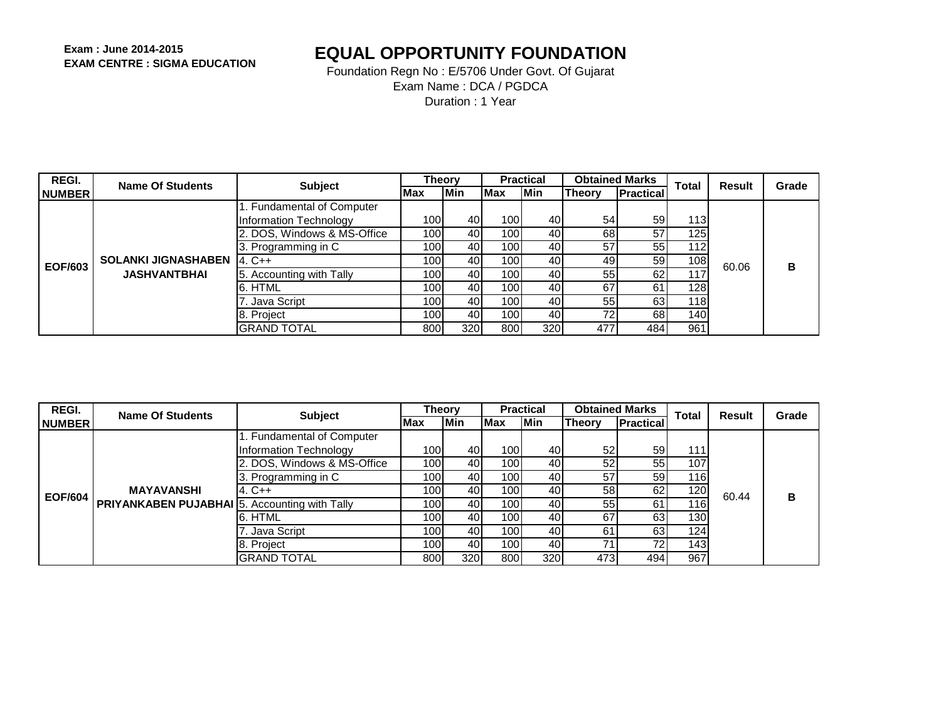| REGI.          | Name Of Students           | <b>Subject</b>              | <b>Theory</b> |            |                  | <b>Practical</b> |         | <b>Obtained Marks</b> | <b>Total</b> | Result | Grade |
|----------------|----------------------------|-----------------------------|---------------|------------|------------------|------------------|---------|-----------------------|--------------|--------|-------|
| <b>INUMBER</b> |                            |                             | <b>IMax</b>   | <b>Min</b> | <b>IMax</b>      | Min              | lTheorv | <b>Practical</b>      |              |        |       |
|                |                            | 1. Fundamental of Computer  |               |            |                  |                  |         |                       |              |        |       |
|                |                            | Information Technology      | 100l          | 40         | 100              | 40               | 54      | 59                    | 1131         |        |       |
|                |                            | 2. DOS, Windows & MS-Office | 100l          | 40         | 100              | 40               | 68      | 57                    | 125          |        |       |
|                |                            | 3. Programming in C         | 100l          | 40         | 100 <b>1</b>     | 40               | 57      | 55                    | 112I         |        |       |
| <b>EOF/603</b> | <b>SOLANKI JIGNASHABEN</b> | $14. C++$                   | 100l          | 40         | 100 <sup>1</sup> | 40               | 49      | 59                    | 108l         | 60.06  | в     |
|                | <b>JASHVANTBHAI</b>        | 5. Accounting with Tally    | 100l          | 40         | 100 <b>1</b>     | 40               | 55      | 62                    |              |        |       |
|                |                            | 6. HTML                     | 100l          | 40         | 100 <b>1</b>     | 40               | 67      | 61                    | 128I         |        |       |
|                |                            | . Java Script               | 100l          | 40         | 100 <b>1</b>     | 40               | 55      | 63                    | 118          |        |       |
|                |                            | 8. Project                  | 100l          | 40         | 100 <b>1</b>     | 40               | 72      | 68                    | 140          |        |       |
|                |                            | <b>GRAND TOTAL</b>          | 8001          | 320        | 800              | 320              | 477     | 484                   | 961          |        |       |

| REGI.          | <b>Name Of Students</b>                              | <b>Subject</b>              | <b>Theory</b>    |            |              | <b>Practical</b> |               | <b>Obtained Marks</b> | <b>Total</b> | <b>Result</b> | Grade |
|----------------|------------------------------------------------------|-----------------------------|------------------|------------|--------------|------------------|---------------|-----------------------|--------------|---------------|-------|
| <b>NUMBER</b>  |                                                      |                             | Max              | <b>Min</b> | <b>Max</b>   | lMin.            | <b>Theory</b> | Practical             |              |               |       |
|                |                                                      | 1. Fundamental of Computer  |                  |            |              |                  |               |                       |              |               |       |
|                |                                                      | Information Technology      | 100              | 40         | 1001         | 40               | 52            | 59                    | 111          |               |       |
|                |                                                      | 2. DOS, Windows & MS-Office | 100 <sup>1</sup> | 40         | 100          | 40               | 52            | 55                    | 107          |               |       |
| <b>EOF/604</b> | <b>MAYAVANSHI</b>                                    | 3. Programming in C         | 100I             | 40         | 100          | 40               | 57            | 59 <sub>l</sub>       | 116          |               |       |
|                |                                                      | 4. C++                      | 100              | 40         | 100          | 40               | 58            | 62                    | 120 I        | 60.44         | в     |
|                | <b>PRIYANKABEN PUJABHAI</b> 5. Accounting with Tally |                             | 100 <sup>1</sup> | 40         | 100l         | 40               | 55            | 61                    | 1161         |               |       |
|                |                                                      | 6. HTML                     | 100              | 40         | 100          | 40               | 67            | 63                    | 1301         |               |       |
|                |                                                      | 7. Java Script              | 100I             | 40         | 100          | 40               | 61            | 63                    | 124          |               |       |
|                |                                                      | 8. Project                  | 100I             | 40         | 100 <b>1</b> | 40               | 7,            | 72                    | 143 I        |               |       |
|                |                                                      | <b>GRAND TOTAL</b>          | 800l             | 320I       | 800          | 320              | 473           | 494                   | 967          |               |       |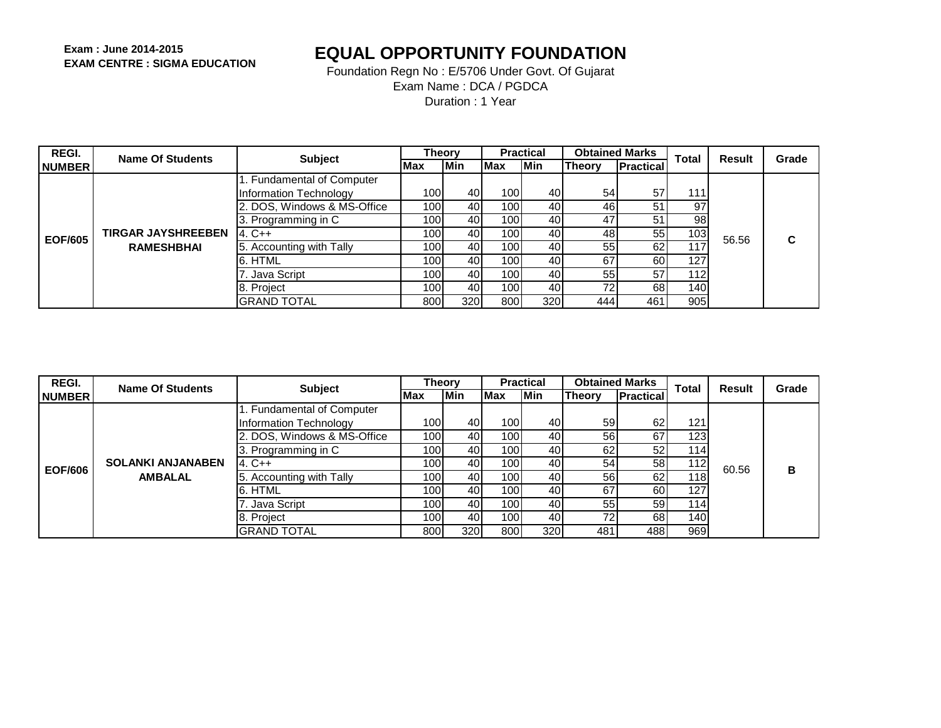| <b>REGI.</b>   | Name Of Students          | <b>Subject</b>              | <b>Theory</b> |            |              | <b>Practical</b> | <b>Obtained Marks</b> |                  | <b>Total</b> | <b>Result</b> | Grade |
|----------------|---------------------------|-----------------------------|---------------|------------|--------------|------------------|-----------------------|------------------|--------------|---------------|-------|
| <b>NUMBER</b>  |                           |                             | Max           | <b>Min</b> | <b>IMax</b>  | <b>Min</b>       | <b>Theory</b>         | <b>Practical</b> |              |               |       |
|                |                           | 1. Fundamental of Computer  |               |            |              |                  |                       |                  |              |               |       |
|                |                           | Information Technology      | 100 l         | 40         | 100          | 40               | 54                    | 57               | 111          |               |       |
|                |                           | 2. DOS, Windows & MS-Office | 100           | 40         | 100          | 40               | 46                    | 51               | 97           |               |       |
|                |                           | 3. Programming in C         | 100 l         | 40         | 100 <b>1</b> | 40               | 47                    | 51               | 98           |               |       |
| <b>EOF/605</b> | <b>TIRGAR JAYSHREEBEN</b> | $4. C++$                    | 100 l         | 40         | 100 <b>1</b> | 40               | 48                    | 55               | 103          | 56.56         | C     |
|                | <b>RAMESHBHAI</b>         | 5. Accounting with Tally    | 100l          | 40         | 100          | 40               | 55                    | 62               |              |               |       |
|                |                           | 6. HTML                     | 100 l         | 40         | 100 <b>1</b> | 40               | 67                    | 60               | 127          |               |       |
|                |                           | 7. Java Script              | 100 l         | 40         | 100          | 40               | 55                    | 57               | 112          |               |       |
|                |                           | 8. Project                  | 100 l         | 40         | 100          | 40               | 72                    | 68               | 1401         |               |       |
|                |                           | IGRAND TOTAL                | 8001          | 320        | 800          | 320              | 444                   | 461              | 905          |               |       |

| <b>REGI.</b>  | Name Of Students         | <b>Subject</b>              | Theory           |     |                  | <b>Practical</b> | <b>Obtained Marks</b> |                  | <b>Total</b>     | <b>Result</b> | Grade |
|---------------|--------------------------|-----------------------------|------------------|-----|------------------|------------------|-----------------------|------------------|------------------|---------------|-------|
| <b>NUMBER</b> |                          |                             | <b>Max</b>       | Min | Max              | <b>Min</b>       | <b>Theory</b>         | <b>Practical</b> |                  |               |       |
|               |                          | 1. Fundamental of Computer  |                  |     |                  |                  |                       |                  |                  |               |       |
|               |                          | Information Technology      | 100 <sup>1</sup> | 40  | 100I             | 40               | 59                    | 62 <sub>1</sub>  | 121              |               |       |
|               |                          | 2. DOS, Windows & MS-Office | 100 <b>1</b>     | 40  | 100              | 40               | 56                    | 67               | 1231             |               |       |
|               |                          | 3. Programming in C         | 100 <b>1</b>     | 40  | 100              | 40               | 62                    | 52 <sub>l</sub>  | 1141             |               |       |
| EOF/606       | <b>SOLANKI ANJANABEN</b> | $4. C++$                    | 100l             | 40  | 100 <sup>1</sup> | 40               | 54                    | 58 <sub>l</sub>  | 1121             | 60.56         | в     |
|               | <b>AMBALAL</b>           | 5. Accounting with Tally    | 100l             | 40  | 100 I            | 40               | 56                    | 62               | 118 <sub>1</sub> |               |       |
|               |                          | 6. HTML                     | 100l             | 40  | 100 I            | 40               | 67                    | 60               | 1271             |               |       |
|               |                          | 7. Java Script              | 100 I            | 40  | 1001             | 40               | 55                    | 59 <sub>l</sub>  | 114              |               |       |
|               |                          | 8. Project                  | 100l             | 40  | 1001             | 40               | 72                    | 68               | 140              |               |       |
|               |                          | IGRAND TOTAL                | 800              | 320 | 800              | 320              | 481                   | 488              | 969              |               |       |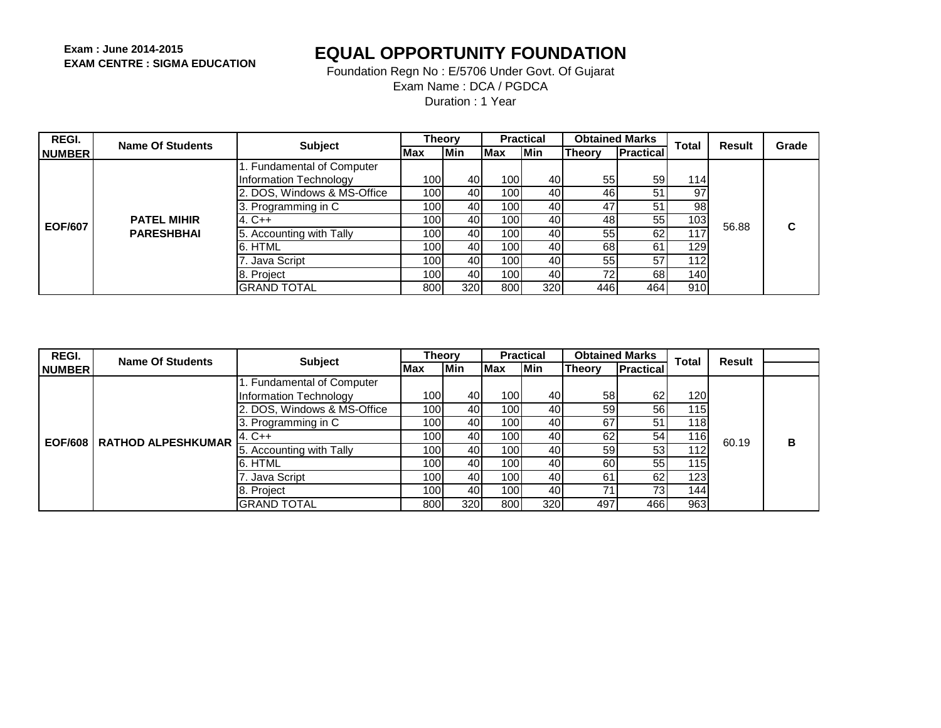Foundation Regn No : E/5706 Under Govt. Of Gujarat Exam Name : DCA / PGDCA

Duration : 1 Year

| REGI.          | Name Of Students   | <b>Subject</b>              | <b>Theory</b>    |            |                  | <b>Practical</b> | <b>Obtained Marks</b> |                  | <b>Total</b>     | Result | Grade |
|----------------|--------------------|-----------------------------|------------------|------------|------------------|------------------|-----------------------|------------------|------------------|--------|-------|
| <b>INUMBER</b> |                    |                             | <b>IMax</b>      | <b>Min</b> | <b>Max</b>       | lMin.            | <b>Theory</b>         | <b>Practical</b> |                  |        |       |
|                |                    | 1. Fundamental of Computer  |                  |            |                  |                  |                       |                  |                  |        |       |
|                |                    | Information Technology      | 100 l            | 40         | 100 <sub>I</sub> | 40               | 55                    | 59 <sub>l</sub>  | 114 <sub>1</sub> |        |       |
|                |                    | 2. DOS, Windows & MS-Office | 100 <sup>1</sup> | 40         | 100              | 40               | 46                    | 51               | 97               |        |       |
|                |                    | 3. Programming in C         | 100              | 40I        | 1001             | 40               | 47                    | 51               | 98 <sub>1</sub>  |        |       |
| <b>EOF/607</b> | <b>PATEL MIHIR</b> | $4. C++$                    | 100              | 40         | 100l             | 40               | 48                    | 55               | 103 <sub>l</sub> | 56.88  | С     |
|                | <b>PARESHBHAI</b>  | 5. Accounting with Tally    | 100I             | 40         | 100l             | 40               | 55                    | 62               | 117              |        |       |
|                |                    | 6. HTML                     | 100I             | 40         | 100l             | 40               | 68                    | 61               | 129              |        |       |
|                |                    | . Java Script               | 100              | 40         | 100l             | 40               | 55                    | 57               | 1121             |        |       |
|                |                    | 8. Project                  | 100              | 40         | 100 <sup>1</sup> | 40               | 72                    | 68               | 140              |        |       |
|                |                    | <b>GRAND TOTAL</b>          | 800l             | 320        | 800              | 320              | 446                   | 464              | 910              |        |       |

| <b>REGI.</b>  | <b>Name Of Students</b>             | <b>Subject</b>              | Theory       |     |                  | <b>Practical</b> | <b>Obtained Marks</b> |                  | <b>Total</b>     | Result |   |
|---------------|-------------------------------------|-----------------------------|--------------|-----|------------------|------------------|-----------------------|------------------|------------------|--------|---|
| <b>NUMBER</b> |                                     |                             | <b>Max</b>   | Min | Max              | <b>IMin</b>      | Theory                | <b>Practical</b> |                  |        |   |
|               |                                     | 1. Fundamental of Computer  |              |     |                  |                  |                       |                  |                  |        |   |
|               |                                     | Information Technology      | 100l         | 40  | 100              | 40               | 58                    | 62               | 120 <sub>l</sub> |        |   |
|               |                                     | 2. DOS, Windows & MS-Office | 100 <b>1</b> | 40  | 1001             | 40               | 59                    | 56               | 115 I            |        |   |
|               |                                     | 3. Programming in C         | 100 I        | 40  | 1001             | 40               | 67                    | 51               | 1181             |        |   |
|               | <b>EOF/608   RATHOD ALPESHKUMAR</b> | $4. C++$                    | 100l         | 40  | 1001             | 40               | 62                    | 54               | 116l             | 60.19  | В |
|               |                                     | 5. Accounting with Tally    | 100l         | 40  | 1001             | 40               | 59                    | 53               | 112              |        |   |
|               |                                     | 6. HTML                     | 100l         | 40  | 100 <sup>1</sup> | 40               | 60                    | 55               | 115              |        |   |
|               |                                     | 7. Java Script              | 100l         | 40  | 100I             | 40               | 61                    | 62               | 123 I            |        |   |
|               |                                     | 8. Project                  | 100l         | 40  | 1001             | 40               | 71                    | 73 <sub>l</sub>  | 144              |        |   |
|               |                                     | <b>GRAND TOTAL</b>          | 800          | 320 | 800              | 320              | 497                   | 466              | 963              |        |   |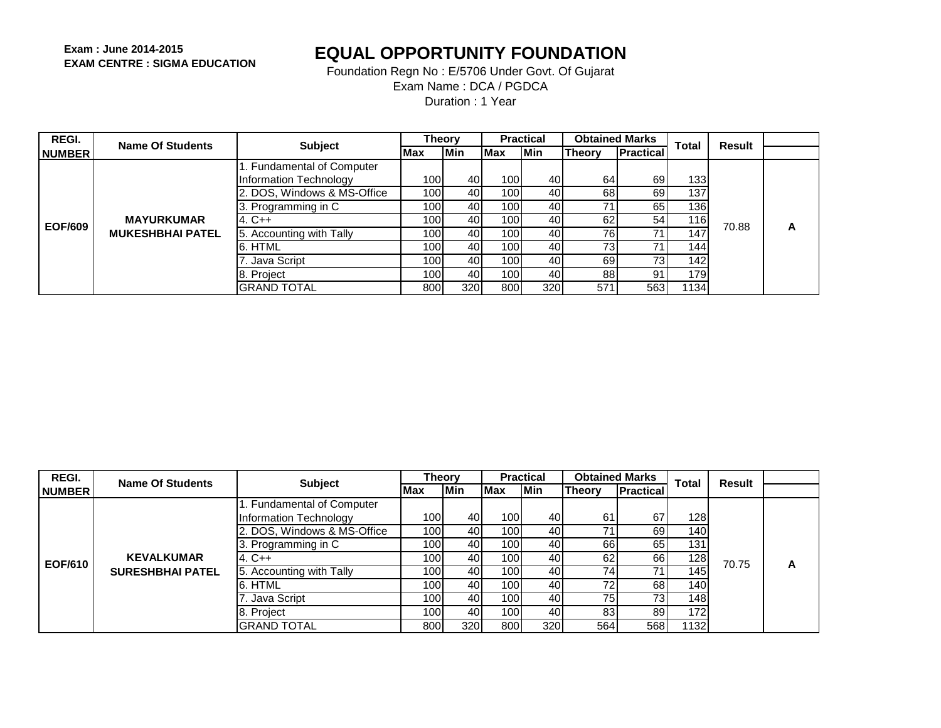| REGI.          | Name Of Students        | <b>Subject</b>              | Theorv           |            |                  | <b>Practical</b> | <b>Obtained Marks</b> |                  | <b>Total</b>     | Result |   |
|----------------|-------------------------|-----------------------------|------------------|------------|------------------|------------------|-----------------------|------------------|------------------|--------|---|
| <b>NUMBER</b>  |                         |                             | <b>IMax</b>      | <b>Min</b> | Max              | <b>IMin</b>      | <b>Theory</b>         | <b>Practical</b> |                  |        |   |
|                |                         | 1. Fundamental of Computer  |                  |            |                  |                  |                       |                  |                  |        |   |
|                |                         | Information Technology      | 100 <sup>1</sup> | 40         | 100 <b>1</b>     | 40I              | 64                    | 69               | 133 I            |        |   |
|                |                         | 2. DOS, Windows & MS-Office | 100I             | 40         | 100l             | 40               | 68                    | 69               | 137 <sub>1</sub> |        |   |
|                |                         | 3. Programming in C         | 100I             | 40         | 100              | 40               | 71                    | 65               | 136 I            |        |   |
| <b>EOF/609</b> | <b>MAYURKUMAR</b>       | $4. C++$                    | 100 <sup>1</sup> | 40         | 100l             | 40               | 62                    | 54               | 116l             | 70.88  |   |
|                | <b>MUKESHBHAI PATEL</b> | 5. Accounting with Tally    | 100I             | 40         | 100              | 40               | 76I                   |                  | 147              |        | А |
|                |                         | 6. HTML                     | 100              | 40         | 100 <sup>1</sup> | 40               | 73 <sub>1</sub>       |                  | 144              |        |   |
|                |                         | 7. Java Script              | 100              | 40         | 100 <sup>1</sup> | 40               | 69                    | 73 <sub>l</sub>  | 142              |        |   |
|                |                         | 8. Project                  | 100              | 40         | 100 <b>1</b>     | 40               | 88                    | 91               | 1791             |        |   |
|                |                         | IGRAND TOTAL                | 800              | 320        | 800              | 320              | 571                   | 5631             | 1134             |        |   |

| REGI.          | <b>Name Of Students</b> | <b>Subject</b>                | Theory           |            |            | <b>Practical</b> | <b>Obtained Marks</b> |                  | <b>Total</b>     | Result<br>70.75 |   |
|----------------|-------------------------|-------------------------------|------------------|------------|------------|------------------|-----------------------|------------------|------------------|-----------------|---|
| <b>NUMBER</b>  |                         |                               | Max              | <b>Min</b> | <b>Max</b> | <b>IMin</b>      | <b>Theory</b>         | <b>Practical</b> |                  |                 |   |
|                |                         | 1. Fundamental of Computer    |                  |            |            |                  |                       |                  |                  |                 |   |
|                |                         | <b>Information Technology</b> | 100 <b>1</b>     | 40         | 100        | 40               | 61                    | 67               | 128I             |                 |   |
|                |                         | 2. DOS, Windows & MS-Office   | 100              | 40         | 100        | 40               | 71                    | 69               | 140 I            |                 |   |
|                |                         | 3. Programming in C           | 100 <sub>l</sub> | 40         | 100        | 40               | 66                    | 65               | 131 <sup>1</sup> |                 |   |
| <b>EOF/610</b> | <b>KEVALKUMAR</b>       | $4. C++$                      | 100              | 40         | 100        | 40               | 62                    | 66I              | 128I             |                 | A |
|                | <b>SURESHBHAI PATEL</b> | 5. Accounting with Tally      | 100              | 40         | 100l       | 40               | 74                    | 71               | 1451             |                 |   |
|                |                         | 6. HTML                       | 100              | 40         | 100l       | 40               | 72                    | 68               | 140 I            |                 |   |
|                |                         | . Java Script                 | 100              | 40         | 100        | 40               | 75                    | 73 <sub>l</sub>  | 148 I            |                 |   |
|                |                         | 8. Project                    | 100              | 40         | 100        | 40               | 83                    | 89               | 172              |                 |   |
|                |                         | <b>GRAND TOTAL</b>            | 800              | 320        | 800        | 320              | 564                   | 568              | 11321            |                 |   |